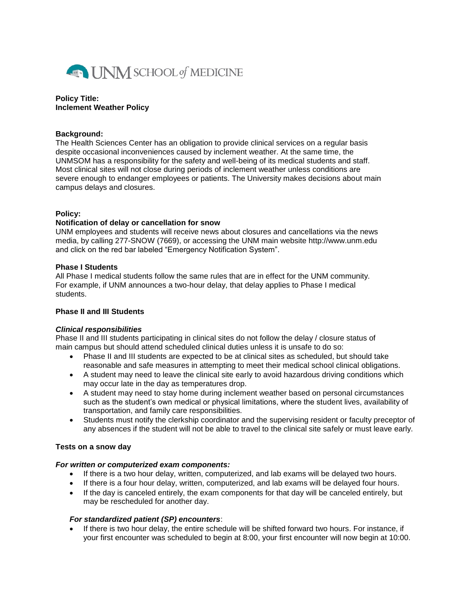

#### **Policy Title: Inclement Weather Policy**

### **Background:**

The Health Sciences Center has an obligation to provide clinical services on a regular basis despite occasional inconveniences caused by inclement weather. At the same time, the UNMSOM has a responsibility for the safety and well-being of its medical students and staff. Most clinical sites will not close during periods of inclement weather unless conditions are severe enough to endanger employees or patients. The University makes decisions about main campus delays and closures.

### **Policy:**

### **Notification of delay or cancellation for snow**

UNM employees and students will receive news about closures and cancellations via the news media, by calling 277-SNOW (7669), or accessing the UNM main website http://www.unm.edu and click on the red bar labeled "Emergency Notification System".

### **Phase I Students**

All Phase I medical students follow the same rules that are in effect for the UNM community. For example, if UNM announces a two-hour delay, that delay applies to Phase I medical students.

# **Phase II and III Students**

# *Clinical responsibilities*

Phase II and III students participating in clinical sites do not follow the delay / closure status of main campus but should attend scheduled clinical duties unless it is unsafe to do so:

- Phase II and III students are expected to be at clinical sites as scheduled, but should take reasonable and safe measures in attempting to meet their medical school clinical obligations.
- A student may need to leave the clinical site early to avoid hazardous driving conditions which may occur late in the day as temperatures drop.
- A student may need to stay home during inclement weather based on personal circumstances such as the student's own medical or physical limitations, where the student lives, availability of transportation, and family care responsibilities.
- Students must notify the clerkship coordinator and the supervising resident or faculty preceptor of any absences if the student will not be able to travel to the clinical site safely or must leave early.

# **Tests on a snow day**

#### *For written or computerized exam components:*

- If there is a two hour delay, written, computerized, and lab exams will be delayed two hours.
- If there is a four hour delay, written, computerized, and lab exams will be delayed four hours.
- If the day is canceled entirely, the exam components for that day will be canceled entirely, but may be rescheduled for another day.

# *For standardized patient (SP) encounters*:

 If there is two hour delay, the entire schedule will be shifted forward two hours. For instance, if your first encounter was scheduled to begin at 8:00, your first encounter will now begin at 10:00.